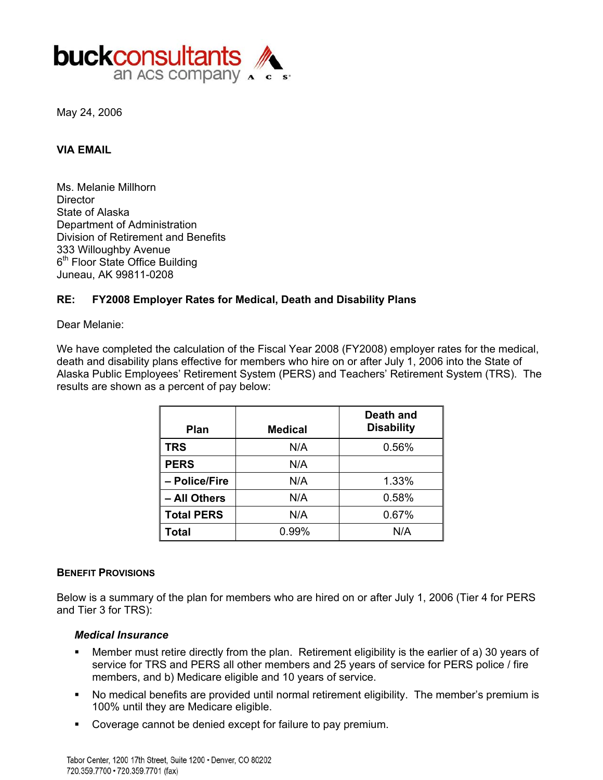

May 24, 2006

#### **VIA EMAIL**

Ms. Melanie Millhorn **Director** State of Alaska Department of Administration Division of Retirement and Benefits 333 Willoughby Avenue 6<sup>th</sup> Floor State Office Building Juneau, AK 99811-0208

## **RE: FY2008 Employer Rates for Medical, Death and Disability Plans**

Dear Melanie:

We have completed the calculation of the Fiscal Year 2008 (FY2008) employer rates for the medical, death and disability plans effective for members who hire on or after July 1, 2006 into the State of Alaska Public Employees' Retirement System (PERS) and Teachers' Retirement System (TRS). The results are shown as a percent of pay below:

| Plan              | <b>Medical</b> | Death and<br><b>Disability</b> |
|-------------------|----------------|--------------------------------|
| <b>TRS</b>        | N/A            | 0.56%                          |
| <b>PERS</b>       | N/A            |                                |
| - Police/Fire     | N/A            | 1.33%                          |
| - All Others      | N/A            | 0.58%                          |
| <b>Total PERS</b> | N/A            | 0.67%                          |
| Total             | 0.99%          | N/A                            |

#### **BENEFIT PROVISIONS**

Below is a summary of the plan for members who are hired on or after July 1, 2006 (Tier 4 for PERS and Tier 3 for TRS):

#### *Medical Insurance*

- members, and b) Medicare eligible and 10 years of service. Member must retire directly from the plan. Retirement eligibility is the earlier of a) 30 years of service for TRS and PERS all other members and 25 years of service for PERS police / fire
- No medical benefits are provided until normal retirement eligibility. The member's premium is 100% until they are Medicare eligible.
- Coverage cannot be denied except for failure to pay premium.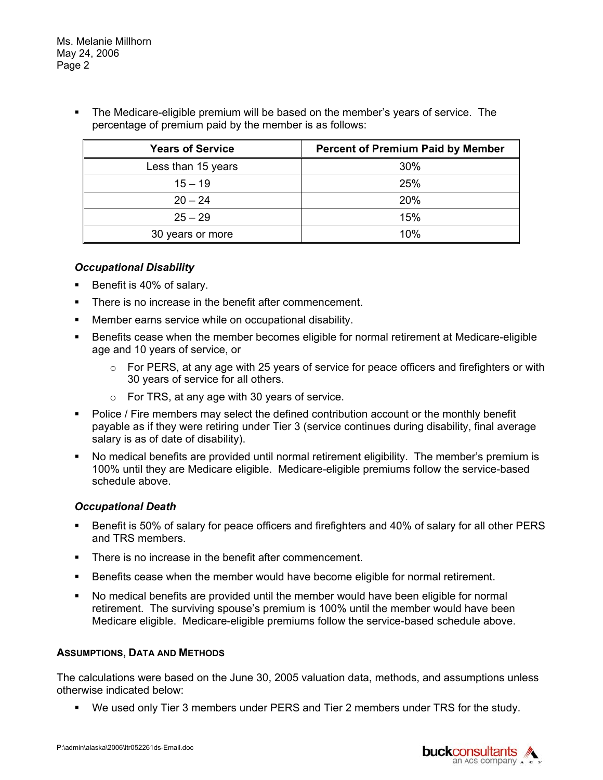**The Medicare-eligible premium will be based on the member's years of service. The** percentage of premium paid by the member is as follows:

| <b>Years of Service</b> | <b>Percent of Premium Paid by Member</b> |
|-------------------------|------------------------------------------|
| Less than 15 years      | 30%                                      |
| $15 - 19$               | 25%                                      |
| $20 - 24$               | 20%                                      |
| $25 - 29$               | 15%                                      |
| 30 years or more        | 10%                                      |

## *Occupational Disability*

- Benefit is 40% of salary.
- **There is no increase in the benefit after commencement.**
- Member earns service while on occupational disability.
- Benefits cease when the member becomes eligible for normal retirement at Medicare-eligible age and 10 years of service, or
	- $\circ$  For PERS, at any age with 25 years of service for peace officers and firefighters or with 30 years of service for all others.
	- $\circ$  For TRS, at any age with 30 years of service.
- **Police / Fire members may select the defined contribution account or the monthly benefit** payable as if they were retiring under Tier 3 (service continues during disability, final average salary is as of date of disability).
- No medical benefits are provided until normal retirement eligibility. The member's premium is 100% until they are Medicare eligible. Medicare-eligible premiums follow the service-based schedule above.

# *Occupational Death*

- Benefit is 50% of salary for peace officers and firefighters and 40% of salary for all other PERS and TRS members.
- There is no increase in the benefit after commencement.
- Benefits cease when the member would have become eligible for normal retirement.
- No medical benefits are provided until the member would have been eligible for normal retirement. The surviving spouse's premium is 100% until the member would have been Medicare eligible. Medicare-eligible premiums follow the service-based schedule above.

## **ASSUMPTIONS, DATA AND METHODS**

The calculations were based on the June 30, 2005 valuation data, methods, and assumptions unless otherwise indicated below:

We used only Tier 3 members under PERS and Tier 2 members under TRS for the study.